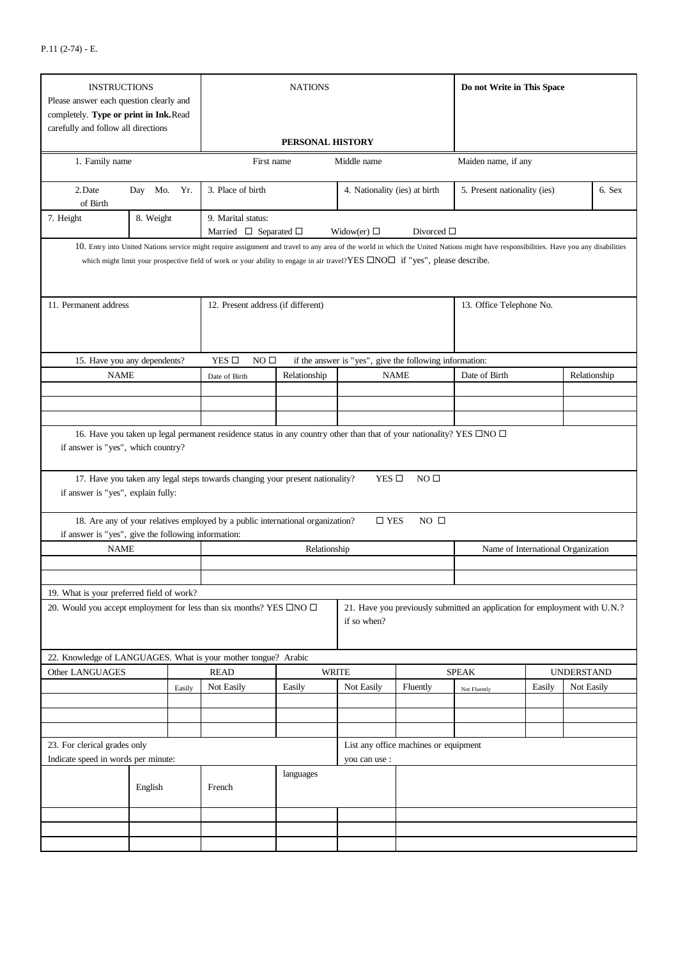| <b>INSTRUCTIONS</b><br>Please answer each question clearly and<br>completely. Type or print in Ink.Read<br>carefully and follow all directions |           |        |                                                                                                                                                                                                                                                                                                                                       | Do not Write in This Space |                                                         |                                                                            |                                    |                              |                   |        |
|------------------------------------------------------------------------------------------------------------------------------------------------|-----------|--------|---------------------------------------------------------------------------------------------------------------------------------------------------------------------------------------------------------------------------------------------------------------------------------------------------------------------------------------|----------------------------|---------------------------------------------------------|----------------------------------------------------------------------------|------------------------------------|------------------------------|-------------------|--------|
| 1. Family name                                                                                                                                 |           |        | PERSONAL HISTORY<br>First name<br>Middle name                                                                                                                                                                                                                                                                                         |                            |                                                         |                                                                            | Maiden name, if any                |                              |                   |        |
| 2. Date<br>Day Mo. Yr.                                                                                                                         |           |        | 3. Place of birth                                                                                                                                                                                                                                                                                                                     |                            |                                                         | 4. Nationality (ies) at birth                                              |                                    | 5. Present nationality (ies) |                   | 6. Sex |
| of Birth<br>7. Height                                                                                                                          | 8. Weight |        | 9. Marital status:<br>Married $\Box$ Separated $\Box$                                                                                                                                                                                                                                                                                 |                            | Widow(er) $\Box$                                        | Divorced $\square$                                                         |                                    |                              |                   |        |
|                                                                                                                                                |           |        | 10. Entry into United Nations service might require assignment and travel to any area of the world in which the United Nations might have responsibilities. Have you any disabilities<br>which might limit your prospective field of work or your ability to engage in air travel?YES $\Box \text{NO}\Box$ if "yes", please describe. |                            |                                                         |                                                                            |                                    |                              |                   |        |
| 11. Permanent address                                                                                                                          |           |        | 12. Present address (if different)                                                                                                                                                                                                                                                                                                    |                            |                                                         |                                                                            | 13. Office Telephone No.           |                              |                   |        |
| 15. Have you any dependents?                                                                                                                   |           |        | YES $\Box$<br>NO <sub>0</sub>                                                                                                                                                                                                                                                                                                         |                            | if the answer is "yes", give the following information: |                                                                            |                                    |                              |                   |        |
| <b>NAME</b>                                                                                                                                    |           |        | Date of Birth                                                                                                                                                                                                                                                                                                                         | Relationship               |                                                         | <b>NAME</b>                                                                | Date of Birth                      |                              | Relationship      |        |
|                                                                                                                                                |           |        |                                                                                                                                                                                                                                                                                                                                       |                            |                                                         |                                                                            |                                    |                              |                   |        |
|                                                                                                                                                |           |        |                                                                                                                                                                                                                                                                                                                                       |                            |                                                         |                                                                            |                                    |                              |                   |        |
|                                                                                                                                                |           |        |                                                                                                                                                                                                                                                                                                                                       |                            |                                                         |                                                                            |                                    |                              |                   |        |
| if answer is "yes", explain fully:                                                                                                             |           |        | 17. Have you taken any legal steps towards changing your present nationality?<br>18. Are any of your relatives employed by a public international organization?                                                                                                                                                                       |                            | YES $\Box$<br>$\Box$ YES                                | NO <sub>0</sub><br>$NO$ $\square$                                          |                                    |                              |                   |        |
| if answer is "yes", give the following information:                                                                                            |           |        |                                                                                                                                                                                                                                                                                                                                       |                            |                                                         |                                                                            |                                    |                              |                   |        |
| <b>NAME</b>                                                                                                                                    |           |        | Relationship                                                                                                                                                                                                                                                                                                                          |                            |                                                         |                                                                            | Name of International Organization |                              |                   |        |
|                                                                                                                                                |           |        |                                                                                                                                                                                                                                                                                                                                       |                            |                                                         |                                                                            |                                    |                              |                   |        |
|                                                                                                                                                |           |        |                                                                                                                                                                                                                                                                                                                                       |                            |                                                         |                                                                            |                                    |                              |                   |        |
| 19. What is your preferred field of work?                                                                                                      |           |        |                                                                                                                                                                                                                                                                                                                                       |                            |                                                         |                                                                            |                                    |                              |                   |        |
| 20. Would you accept employment for less than six months? YES $\Box$ NO $\Box$                                                                 |           |        | if so when?                                                                                                                                                                                                                                                                                                                           |                            |                                                         | 21. Have you previously submitted an application for employment with U.N.? |                                    |                              |                   |        |
| 22. Knowledge of LANGUAGES. What is your mother tongue? Arabic                                                                                 |           |        |                                                                                                                                                                                                                                                                                                                                       |                            |                                                         |                                                                            |                                    |                              |                   |        |
| Other LANGUAGES                                                                                                                                |           |        | <b>READ</b>                                                                                                                                                                                                                                                                                                                           | <b>WRITE</b>               |                                                         |                                                                            | <b>SPEAK</b>                       |                              | <b>UNDERSTAND</b> |        |
|                                                                                                                                                |           | Easily | Not Easily                                                                                                                                                                                                                                                                                                                            | Easily                     | Not Easily                                              | Fluently                                                                   | Not Fluently                       | Easily                       | Not Easily        |        |
|                                                                                                                                                |           |        |                                                                                                                                                                                                                                                                                                                                       |                            |                                                         |                                                                            |                                    |                              |                   |        |
|                                                                                                                                                |           |        |                                                                                                                                                                                                                                                                                                                                       |                            |                                                         |                                                                            |                                    |                              |                   |        |
|                                                                                                                                                |           |        |                                                                                                                                                                                                                                                                                                                                       |                            |                                                         |                                                                            |                                    |                              |                   |        |
| 23. For clerical grades only<br>Indicate speed in words per minute:                                                                            |           |        | List any office machines or equipment<br>you can use :                                                                                                                                                                                                                                                                                |                            |                                                         |                                                                            |                                    |                              |                   |        |
| English                                                                                                                                        |           | French | languages                                                                                                                                                                                                                                                                                                                             |                            |                                                         |                                                                            |                                    |                              |                   |        |
|                                                                                                                                                |           |        |                                                                                                                                                                                                                                                                                                                                       |                            |                                                         |                                                                            |                                    |                              |                   |        |
|                                                                                                                                                |           |        |                                                                                                                                                                                                                                                                                                                                       |                            |                                                         |                                                                            |                                    |                              |                   |        |
|                                                                                                                                                |           |        |                                                                                                                                                                                                                                                                                                                                       |                            |                                                         |                                                                            |                                    |                              |                   |        |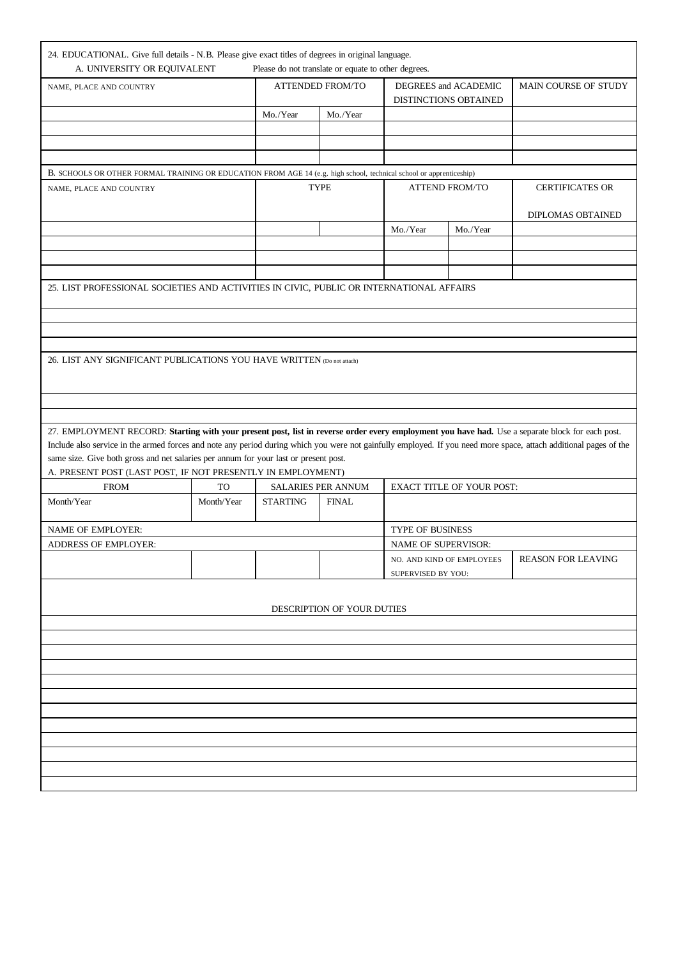| 24. EDUCATIONAL. Give full details - N.B. Please give exact titles of degrees in original language.<br>A. UNIVERSITY OR EQUIVALENT                                |                  | Please do not translate or equate to other degrees. |                    |                                               |                                                 |                           |  |  |
|-------------------------------------------------------------------------------------------------------------------------------------------------------------------|------------------|-----------------------------------------------------|--------------------|-----------------------------------------------|-------------------------------------------------|---------------------------|--|--|
| NAME, PLACE AND COUNTRY                                                                                                                                           |                  | <b>ATTENDED FROM/TO</b>                             |                    | DEGREES and ACADEMIC<br>DISTINCTIONS OBTAINED |                                                 | MAIN COURSE OF STUDY      |  |  |
|                                                                                                                                                                   |                  | Mo./Year<br>Mo./Year                                |                    |                                               |                                                 |                           |  |  |
|                                                                                                                                                                   |                  |                                                     |                    |                                               |                                                 |                           |  |  |
|                                                                                                                                                                   |                  |                                                     |                    |                                               |                                                 |                           |  |  |
|                                                                                                                                                                   |                  |                                                     |                    |                                               |                                                 |                           |  |  |
| B. SCHOOLS OR OTHER FORMAL TRAINING OR EDUCATION FROM AGE 14 (e.g. high school, technical school or apprenticeship)<br>NAME, PLACE AND COUNTRY                    |                  |                                                     | <b>TYPE</b>        |                                               | <b>ATTEND FROM/TO</b><br><b>CERTIFICATES OR</b> |                           |  |  |
|                                                                                                                                                                   |                  |                                                     |                    |                                               |                                                 |                           |  |  |
|                                                                                                                                                                   |                  |                                                     |                    |                                               |                                                 | DIPLOMAS OBTAINED         |  |  |
|                                                                                                                                                                   |                  |                                                     |                    | Mo./Year                                      | Mo./Year                                        |                           |  |  |
|                                                                                                                                                                   |                  |                                                     |                    |                                               |                                                 |                           |  |  |
|                                                                                                                                                                   |                  |                                                     |                    |                                               |                                                 |                           |  |  |
| 25. LIST PROFESSIONAL SOCIETIES AND ACTIVITIES IN CIVIC, PUBLIC OR INTERNATIONAL AFFAIRS                                                                          |                  |                                                     |                    |                                               |                                                 |                           |  |  |
|                                                                                                                                                                   |                  |                                                     |                    |                                               |                                                 |                           |  |  |
|                                                                                                                                                                   |                  |                                                     |                    |                                               |                                                 |                           |  |  |
|                                                                                                                                                                   |                  |                                                     |                    |                                               |                                                 |                           |  |  |
|                                                                                                                                                                   |                  |                                                     |                    |                                               |                                                 |                           |  |  |
| 26. LIST ANY SIGNIFICANT PUBLICATIONS YOU HAVE WRITTEN (Do not attach)                                                                                            |                  |                                                     |                    |                                               |                                                 |                           |  |  |
|                                                                                                                                                                   |                  |                                                     |                    |                                               |                                                 |                           |  |  |
|                                                                                                                                                                   |                  |                                                     |                    |                                               |                                                 |                           |  |  |
|                                                                                                                                                                   |                  |                                                     |                    |                                               |                                                 |                           |  |  |
| 27. EMPLOYMENT RECORD: Starting with your present post, list in reverse order every employment you have had. Use a separate block for each post.                  |                  |                                                     |                    |                                               |                                                 |                           |  |  |
| Include also service in the armed forces and note any period during which you were not gainfully employed. If you need more space, attach additional pages of the |                  |                                                     |                    |                                               |                                                 |                           |  |  |
| same size. Give both gross and net salaries per annum for your last or present post.<br>A. PRESENT POST (LAST POST, IF NOT PRESENTLY IN EMPLOYMENT)               |                  |                                                     |                    |                                               |                                                 |                           |  |  |
| <b>FROM</b>                                                                                                                                                       | <b>TO</b>        |                                                     | SALARIES PER ANNUM | <b>EXACT TITLE OF YOUR POST:</b>              |                                                 |                           |  |  |
| Month/Year                                                                                                                                                        | Month/Year       | <b>STARTING</b>                                     | <b>FINAL</b>       |                                               |                                                 |                           |  |  |
|                                                                                                                                                                   |                  |                                                     |                    |                                               |                                                 |                           |  |  |
| NAME OF EMPLOYER:                                                                                                                                                 | TYPE OF BUSINESS |                                                     |                    |                                               |                                                 |                           |  |  |
| <b>ADDRESS OF EMPLOYER:</b><br><b>NAME OF SUPERVISOR:</b>                                                                                                         |                  |                                                     |                    |                                               |                                                 |                           |  |  |
|                                                                                                                                                                   |                  |                                                     |                    | NO. AND KIND OF EMPLOYEES                     |                                                 | <b>REASON FOR LEAVING</b> |  |  |
| SUPERVISED BY YOU:                                                                                                                                                |                  |                                                     |                    |                                               |                                                 |                           |  |  |
|                                                                                                                                                                   |                  |                                                     |                    |                                               |                                                 |                           |  |  |
| DESCRIPTION OF YOUR DUTIES                                                                                                                                        |                  |                                                     |                    |                                               |                                                 |                           |  |  |
|                                                                                                                                                                   |                  |                                                     |                    |                                               |                                                 |                           |  |  |
|                                                                                                                                                                   |                  |                                                     |                    |                                               |                                                 |                           |  |  |
|                                                                                                                                                                   |                  |                                                     |                    |                                               |                                                 |                           |  |  |
|                                                                                                                                                                   |                  |                                                     |                    |                                               |                                                 |                           |  |  |
|                                                                                                                                                                   |                  |                                                     |                    |                                               |                                                 |                           |  |  |
|                                                                                                                                                                   |                  |                                                     |                    |                                               |                                                 |                           |  |  |
|                                                                                                                                                                   |                  |                                                     |                    |                                               |                                                 |                           |  |  |
|                                                                                                                                                                   |                  |                                                     |                    |                                               |                                                 |                           |  |  |
|                                                                                                                                                                   |                  |                                                     |                    |                                               |                                                 |                           |  |  |
|                                                                                                                                                                   |                  |                                                     |                    |                                               |                                                 |                           |  |  |
|                                                                                                                                                                   |                  |                                                     |                    |                                               |                                                 |                           |  |  |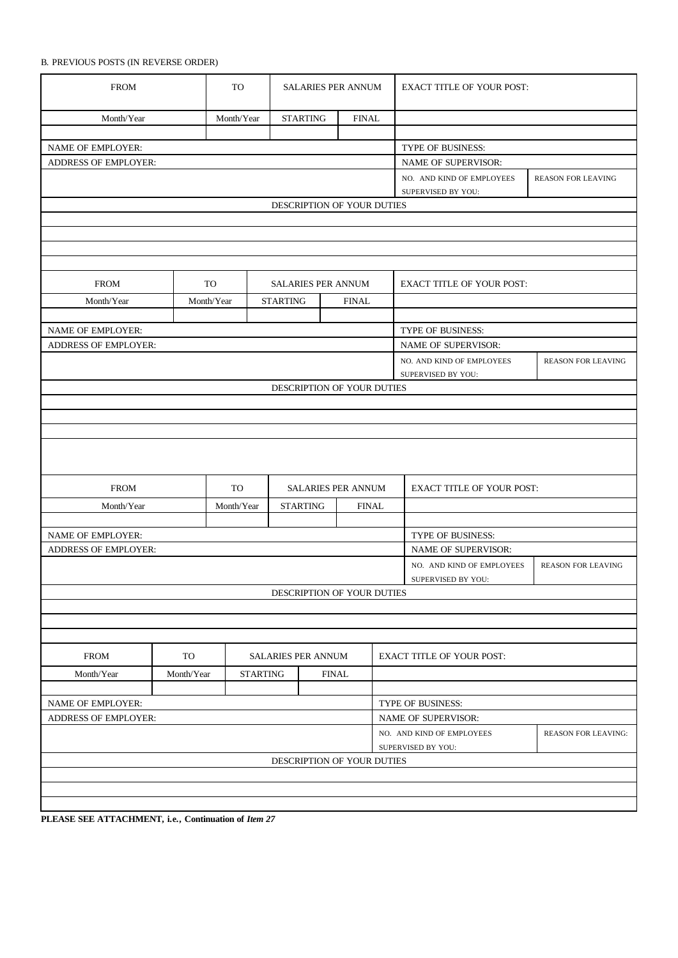## B. PREVIOUS POSTS (IN REVERSE ORDER)

| <b>FROM</b>                                         |                                        | TO         |                                 | <b>SALARIES PER ANNUM</b>                       |                            | <b>EXACT TITLE OF YOUR POST:</b> |                                                                               |                           |  |  |  |
|-----------------------------------------------------|----------------------------------------|------------|---------------------------------|-------------------------------------------------|----------------------------|----------------------------------|-------------------------------------------------------------------------------|---------------------------|--|--|--|
| Month/Year                                          | <b>STARTING</b><br>Month/Year          |            | <b>FINAL</b>                    |                                                 |                            |                                  |                                                                               |                           |  |  |  |
|                                                     |                                        |            |                                 |                                                 |                            |                                  |                                                                               |                           |  |  |  |
| NAME OF EMPLOYER:                                   |                                        |            |                                 |                                                 |                            |                                  | TYPE OF BUSINESS:                                                             |                           |  |  |  |
| <b>ADDRESS OF EMPLOYER:</b>                         |                                        |            |                                 |                                                 |                            |                                  | <b>NAME OF SUPERVISOR:</b>                                                    |                           |  |  |  |
|                                                     |                                        |            |                                 |                                                 |                            |                                  | NO. AND KIND OF EMPLOYEES<br>SUPERVISED BY YOU:                               | <b>REASON FOR LEAVING</b> |  |  |  |
|                                                     |                                        |            |                                 |                                                 | DESCRIPTION OF YOUR DUTIES |                                  |                                                                               |                           |  |  |  |
|                                                     |                                        |            |                                 |                                                 |                            |                                  |                                                                               |                           |  |  |  |
|                                                     |                                        |            |                                 |                                                 |                            |                                  |                                                                               |                           |  |  |  |
|                                                     |                                        |            |                                 |                                                 |                            |                                  |                                                                               |                           |  |  |  |
|                                                     |                                        |            |                                 |                                                 |                            |                                  |                                                                               |                           |  |  |  |
| <b>FROM</b>                                         |                                        | TO         | <b>SALARIES PER ANNUM</b>       |                                                 |                            | <b>EXACT TITLE OF YOUR POST:</b> |                                                                               |                           |  |  |  |
| Month/Year                                          |                                        | Month/Year | <b>STARTING</b>                 |                                                 | <b>FINAL</b>               |                                  |                                                                               |                           |  |  |  |
|                                                     |                                        |            |                                 |                                                 |                            |                                  |                                                                               |                           |  |  |  |
| NAME OF EMPLOYER:                                   |                                        |            |                                 |                                                 |                            |                                  | TYPE OF BUSINESS:                                                             |                           |  |  |  |
| <b>ADDRESS OF EMPLOYER:</b>                         |                                        |            |                                 |                                                 |                            |                                  | NAME OF SUPERVISOR:                                                           |                           |  |  |  |
|                                                     |                                        |            |                                 |                                                 |                            |                                  | NO. AND KIND OF EMPLOYEES                                                     | <b>REASON FOR LEAVING</b> |  |  |  |
|                                                     |                                        |            |                                 |                                                 |                            | SUPERVISED BY YOU:               |                                                                               |                           |  |  |  |
|                                                     |                                        |            |                                 |                                                 | DESCRIPTION OF YOUR DUTIES |                                  |                                                                               |                           |  |  |  |
|                                                     |                                        |            |                                 |                                                 |                            |                                  |                                                                               |                           |  |  |  |
|                                                     |                                        |            |                                 |                                                 |                            |                                  |                                                                               |                           |  |  |  |
|                                                     |                                        |            |                                 |                                                 |                            |                                  |                                                                               |                           |  |  |  |
|                                                     |                                        |            |                                 |                                                 |                            |                                  |                                                                               |                           |  |  |  |
| <b>FROM</b>                                         |                                        | <b>TO</b>  | SALARIES PER ANNUM              |                                                 |                            |                                  | <b>EXACT TITLE OF YOUR POST:</b>                                              |                           |  |  |  |
| Month/Year                                          |                                        | Month/Year |                                 | <b>STARTING</b>                                 | <b>FINAL</b>               |                                  |                                                                               |                           |  |  |  |
|                                                     |                                        |            |                                 |                                                 |                            |                                  |                                                                               |                           |  |  |  |
| NAME OF EMPLOYER:                                   |                                        |            |                                 |                                                 |                            |                                  | TYPE OF BUSINESS:                                                             |                           |  |  |  |
| ADDRESS OF EMPLOYER:                                |                                        |            |                                 |                                                 |                            | NAME OF SUPERVISOR:              |                                                                               |                           |  |  |  |
|                                                     |                                        |            |                                 | NO. AND KIND OF EMPLOYEES<br>SUPERVISED BY YOU: | <b>REASON FOR LEAVING</b>  |                                  |                                                                               |                           |  |  |  |
| DESCRIPTION OF YOUR DUTIES                          |                                        |            |                                 |                                                 |                            |                                  |                                                                               |                           |  |  |  |
|                                                     |                                        |            |                                 |                                                 |                            |                                  |                                                                               |                           |  |  |  |
|                                                     |                                        |            |                                 |                                                 |                            |                                  |                                                                               |                           |  |  |  |
|                                                     |                                        |            |                                 |                                                 |                            |                                  |                                                                               |                           |  |  |  |
| <b>FROM</b>                                         | <b>TO</b><br><b>SALARIES PER ANNUM</b> |            |                                 |                                                 |                            | <b>EXACT TITLE OF YOUR POST:</b> |                                                                               |                           |  |  |  |
| Month/Year                                          | Month/Year                             |            | <b>STARTING</b><br><b>FINAL</b> |                                                 |                            |                                  |                                                                               |                           |  |  |  |
|                                                     |                                        |            |                                 |                                                 |                            |                                  |                                                                               |                           |  |  |  |
| NAME OF EMPLOYER:                                   |                                        |            |                                 |                                                 |                            |                                  | TYPE OF BUSINESS:                                                             |                           |  |  |  |
| ADDRESS OF EMPLOYER:                                |                                        |            |                                 |                                                 |                            |                                  | <b>NAME OF SUPERVISOR:</b>                                                    |                           |  |  |  |
|                                                     |                                        |            |                                 |                                                 |                            |                                  | NO. AND KIND OF EMPLOYEES<br><b>REASON FOR LEAVING:</b><br>SUPERVISED BY YOU: |                           |  |  |  |
| DESCRIPTION OF YOUR DUTIES                          |                                        |            |                                 |                                                 |                            |                                  |                                                                               |                           |  |  |  |
|                                                     |                                        |            |                                 |                                                 |                            |                                  |                                                                               |                           |  |  |  |
|                                                     |                                        |            |                                 |                                                 |                            |                                  |                                                                               |                           |  |  |  |
|                                                     |                                        |            |                                 |                                                 |                            |                                  |                                                                               |                           |  |  |  |
| DI EASE SEE ATTACIDATE : a. Continuation of Itam 27 |                                        |            |                                 |                                                 |                            |                                  |                                                                               |                           |  |  |  |

**PLEASE SEE ATTACHMENT, i.e., Continuation of** *Item 27*